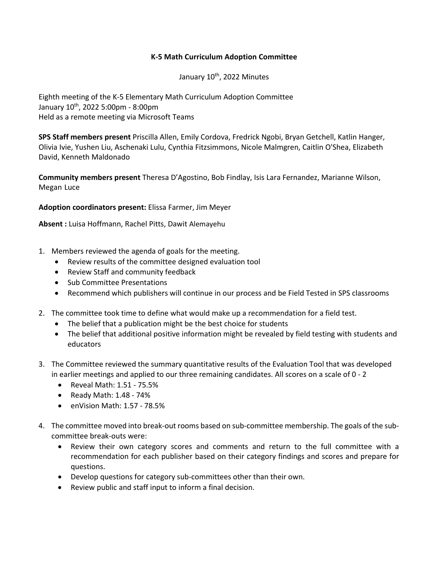## **K-5 Math Curriculum Adoption Committee**

January 10<sup>th</sup>, 2022 Minutes

Eighth meeting of the K-5 Elementary Math Curriculum Adoption Committee January 10<sup>th</sup>, 2022 5:00pm - 8:00pm Held as a remote meeting via Microsoft Teams

**SPS Staff members present** Priscilla Allen, Emily Cordova, Fredrick Ngobi, Bryan Getchell, Katlin Hanger, Olivia Ivie, Yushen Liu, Aschenaki Lulu, Cynthia Fitzsimmons, Nicole Malmgren, Caitlin O'Shea, Elizabeth David, Kenneth Maldonado

**Community members present** Theresa D'Agostino, Bob Findlay, Isis Lara Fernandez, Marianne Wilson, Megan Luce

**Adoption coordinators present:** Elissa Farmer, Jim Meyer

**Absent :** Luisa Hoffmann, Rachel Pitts, Dawit Alemayehu

- 1. Members reviewed the agenda of goals for the meeting.
	- Review results of the committee designed evaluation tool
	- Review Staff and community feedback
	- Sub Committee Presentations
	- Recommend which publishers will continue in our process and be Field Tested in SPS classrooms
- 2. The committee took time to define what would make up a recommendation for a field test.
	- The belief that a publication might be the best choice for students
	- The belief that additional positive information might be revealed by field testing with students and educators
- 3. The Committee reviewed the summary quantitative results of the Evaluation Tool that was developed in earlier meetings and applied to our three remaining candidates. All scores on a scale of 0 - 2
	- Reveal Math: 1.51 75.5%
	- Ready Math: 1.48 74%
	- enVision Math: 1.57 78.5%
- 4. The committee moved into break-out rooms based on sub-committee membership. The goals of the subcommittee break-outs were:
	- Review their own category scores and comments and return to the full committee with a recommendation for each publisher based on their category findings and scores and prepare for questions.
	- Develop questions for category sub-committees other than their own.
	- Review public and staff input to inform a final decision.